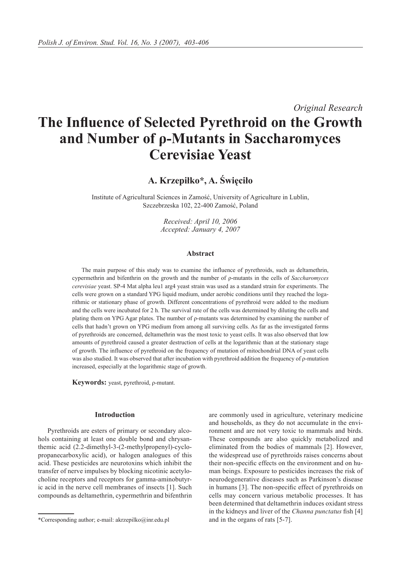*Original Research*

# **The Influence of Selected Pyrethroid on the Growth and Number of ρ-Mutants in Saccharomyces Cerevisiae Yeast**

**A. Krzepiłko\*, A. Święciło**

Institute of Agricultural Sciences in Zamość, University of Agriculture in Lublin, Szczebrzeska 102, 22-400 Zamość, Poland

> *Received: April 10, 2006 Accepted: January 4, 2007*

### **Abstract**

The main purpose of this study was to examine the influence of pyrethroids, such as deltamethrin, cypermethrin and bifenthrin on the growth and the number of ρ-mutants in the cells of *Saccharomyces cerevisiae* yeast. SP-4 Mat alpha leu1 arg4 yeast strain was used as a standard strain for experiments. The cells were grown on a standard YPG liquid medium, under aerobic conditions until they reached the logarithmic or stationary phase of growth. Different concentrations of pyrethroid were added to the medium and the cells were incubated for 2 h. The survival rate of the cells was determined by diluting the cells and plating them on YPG Agar plates. The number of ρ-mutants was determined by examining the number of cells that hadn't grown on YPG medium from among all surviving cells. As far as the investigated forms of pyrethroids are concerned, deltamethrin was the most toxic to yeast cells. It was also observed that low amounts of pyrethroid caused a greater destruction of cells at the logarithmic than at the stationary stage of growth. The influence of pyrethroid on the frequency of mutation of mitochondrial DNA of yeast cells was also studied. It was observed that after incubation with pyrethroid addition the frequency of ρ-mutation increased, especially at the logarithmic stage of growth.

**Keywords:** yeast, pyrethroid, ρ-mutant.

# **Introduction**

Pyrethroids are esters of primary or secondary alcohols containing at least one double bond and chrysanthemic acid (2.2-dimethyl-3-(2-methylpropenyl)-cyclopropanecarboxylic acid), or halogen analogues of this acid. These pesticides are neurotoxins which inhibit the transfer of nerve impulses by blocking nicotinic acetylocholine receptors and receptors for gamma-aminobutyric acid in the nerve cell membranes of insects [1]. Such compounds as deltamethrin, cypermethrin and bifenthrin

are commonly used in agriculture, veterinary medicine and households, as they do not accumulate in the environment and are not very toxic to mammals and birds. These compounds are also quickly metabolized and eliminated from the bodies of mammals [2]. However, the widespread use of pyrethroids raises concerns about their non-specific effects on the environment and on human beings. Exposure to pesticides increases the risk of neurodegenerative diseases such as Parkinson's disease in humans [3]. The non-specific effect of pyrethroids on cells may concern various metabolic processes. It has been determined that deltamethrin induces oxidant stress in the kidneys and liver of the *Channa punctatus* fish [4]

<sup>\*</sup>Corresponding author; e-mail: akrzepilko@inr.edu.pl and in the organs of rats [5-7].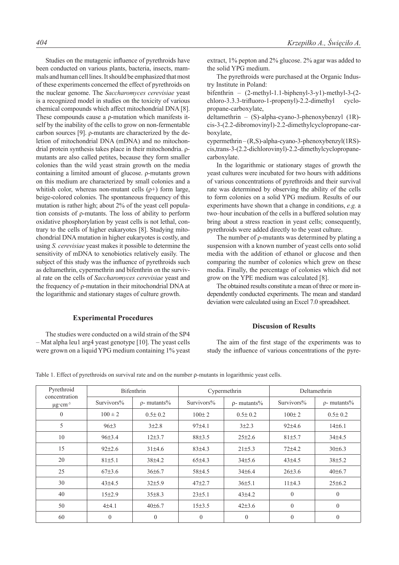Studies on the mutagenic influence of pyrethroids have been conducted on various plants, bacteria, insects, mammals and human cell lines. It should be emphasized that most of these experiments concerned the effect of pyrethroids on the nuclear genome. The *Saccharomyces cerevisiae* yeast is a recognized model in studies on the toxicity of various chemical compounds which affect mitochondrial DNA [8]. These compounds cause a ρ-mutation which manifests itself by the inability of the cells to grow on non-fermentable carbon sources [9]. ρ-mutants are characterized by the deletion of mitochondrial DNA (mDNA) and no mitochondrial protein synthesis takes place in their mitochondria. ρmutants are also called petites, because they form smaller colonies than the wild yeast strain growth on the media containing a limited amount of glucose. ρ-mutants grown on this medium are characterized by small colonies and a whitish color, whereas non-mutant cells  $(\rho +)$  form large, beige-colored colonies. The spontaneous frequency of this mutation is rather high; about 2% of the yeast cell population consists of ρ-mutants. The loss of ability to perform oxidative phosphorylation by yeast cells is not lethal, contrary to the cells of higher eukaryotes [8]. Studying mitochondrial DNA mutation in higher eukaryotes is costly, and using *S. cerevisiae* yeast makes it possible to determine the sensitivity of mDNA to xenobiotics relatively easily. The subject of this study was the influence of pyrethroids such as deltamethrin, cypermethrin and bifenthrin on the survival rate on the cells of *Saccharomyces cerevisiae* yeast and the frequency of ρ-mutation in their mitochondrial DNA at the logarithmic and stationary stages of culture growth.

## **Experimental Procedures**

The studies were conducted on a wild strain of the SP4 – Mat alpha leu1 arg4 yeast genotype [10]. The yeast cells were grown on a liquid YPG medium containing 1% yeast extract, 1% pepton and 2% glucose. 2% agar was added to the solid YPG medium.

The pyrethroids were purchased at the Organic Industry Institute in Poland:

bifenthrin – (2-methyl-1.1-biphenyl-3-y1)-methyl-3-(2 chloro-3.3.3-trifluoro-1-propenyl)-2.2-dimethyl cyclopropane-carboxylate,

deltamethrin – (S)-alpha-cyano-3-phenoxybenzyl (1R) cis-3-(2.2-dibromovinyl)-2.2-dimethylcyclopropane-carboxylate,

cypermethrin – (R,S)-alpha-cyano-3-phenoxybenzyl(1RS) cis,trans-3-(2.2-dichlorovinyl)-2.2-dimethylcyclopropanecarboxylate.

In the logarithmic or stationary stages of growth the yeast cultures were incubated for two hours with additions of various concentrations of pyrethroids and their survival rate was determined by observing the ability of the cells to form colonies on a solid YPG medium. Results of our experiments have shown that a change in conditions, *e.g.* a two–hour incubation of the cells in a buffered solution may bring about a stress reaction in yeast cells; consequently, pyrethroids were added directly to the yeast culture.

The number of ρ-mutants was determined by plating a suspension with a known number of yeast cells onto solid media with the addition of ethanol or glucose and then comparing the number of colonies which grew on these media. Finally, the percentage of colonies which did not grow on the YPE medium was calculated [8].

The obtained results constitute a mean of three or more independently conducted experiments. The mean and standard deviation were calculated using an Excel 7.0 spreadsheet.

# **Discusion of Results**

The aim of the first stage of the experiments was to study the influence of various concentrations of the pyre-

| Pyrethroid<br>concentration<br>$\mu$ g·cm <sup>-3</sup> | <b>Bifenthrin</b> |                   | Cypermethrin     |                   | Deltamethrin |                   |
|---------------------------------------------------------|-------------------|-------------------|------------------|-------------------|--------------|-------------------|
|                                                         | Survivors%        | $\rho$ - mutants% | Survivors%       | $\rho$ - mutants% | Survivors%   | $\rho$ - mutants% |
| $\theta$                                                | $100 \pm 2$       | $0.5 \pm 0.2$     | $100 \pm 2$      | $0.5 \pm 0.2$     | $100 \pm 2$  | $0.5 \pm 0.2$     |
| 5                                                       | $96\pm3$          | 3±2.8             | 97±4.1           | $3+2.3$           | 92±4.6       | 14±6.1            |
| 10                                                      | 96±3.4            | $12\pm3.7$        | 88±3.5           | $25 \pm 2.6$      | 81±5.7       | 34±4.5            |
| 15                                                      | $92\pm2.6$        | $31\pm4.6$        | 83±4.3           | $21 \pm 5.3$      | $72+4.2$     | $30\pm 6.3$       |
| 20                                                      | 81±5.1            | 38±4.2            | 65±4.3           | 34±5.6            | $43\pm4.5$   | 38±5.2            |
| 25                                                      | $67\pm3.6$        | 36±6.7            | 58±4.5           | $34\pm6.4$        | $26\pm3.6$   | 40±6.7            |
| 30                                                      | $43\pm4.5$        | 32±5.9            | $47 + 2.7$       | 36±5.1            | 11±4.3       | $25 \pm 6.2$      |
| 40                                                      | 15±2.9            | $35\pm8.3$        | 23±5.1           | $43\pm4.2$        | $\mathbf{0}$ | $\mathbf{0}$      |
| 50                                                      | $4 + 4.1$         | 40±6.7            | 15±3.5           | $42\pm3.6$        | $\theta$     | $\mathbf{0}$      |
| 60                                                      | $\mathbf{0}$      | $\theta$          | $\boldsymbol{0}$ | $\mathbf{0}$      | $\mathbf{0}$ | $\theta$          |

Table 1. Effect of pyrethroids on survival rate and on the number ρ-mutants in logarithmic yeast cells.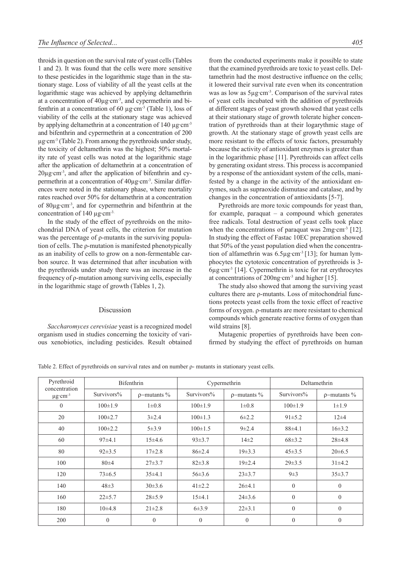throids in question on the survival rate of yeast cells (Tables 1 and 2). It was found that the cells were more sensitive to these pesticides in the logarithmic stage than in the stationary stage. Loss of viability of all the yeast cells at the logarithmic stage was achieved by applying deltamethrin at a concentration of 40µg·cm-3, and cypermethrin and bifenthrin at a concentration of 60  $\mu$ g·cm<sup>-3</sup> (Table 1), loss of viability of the cells at the stationary stage was achieved by applying deltamethrin at a concentration of 140 µg·cm<sup>-3</sup> and bifenthrin and cypermethrin at a concentration of 200 µg·cm-3 (Table 2). From among the pyrethroids under study, the toxicity of deltamethrin was the highest; 50% mortality rate of yeast cells was noted at the logarithmic stage after the application of deltamethrin at a concentration of 20µg·cm-3, and after the application of bifenthrin and cypermethrin at a concentration of  $40\mu$ g·cm<sup>-3</sup>. Similar differences were noted in the stationary phase, where mortality rates reached over 50% for deltamethrin at a concentration of 80µg·cm-3, and for cypermethrin and bifenthrin at the concentration of 140 μg·cm<sup>-3.</sup>

In the study of the effect of pyrethroids on the mitochondrial DNA of yeast cells, the criterion for mutation was the percentage of ρ-mutants in the surviving population of cells. The ρ-mutation is manifested phenotypically as an inability of cells to grow on a non-fermentable carbon source. It was determined that after incubation with the pyrethroids under study there was an increase in the frequency of ρ-mutation among surviving cells, especially in the logarithmic stage of growth (Tables 1, 2).

#### Discussion

*Saccharomyces cerevisiae* yeast is a recognized model organism used in studies concerning the toxicity of various xenobiotics, including pesticides. Result obtained from the conducted experiments make it possible to state that the examined pyrethroids are toxic to yeast cells. Deltamethrin had the most destructive influence on the cells; it lowered their survival rate even when its concentration was as low as  $5\mu$ g·cm<sup>-3</sup>. Comparison of the survival rates of yeast cells incubated with the addition of pyrethroids at different stages of yeast growth showed that yeast cells at their stationary stage of growth tolerate higher concentration of pyrethroids than at their logarythmic stage of growth. At the stationary stage of growth yeast cells are more resistant to the effects of toxic factors, presumably because the activity of antioxidant enzymes is greater than in the logarithmic phase [11]. Pyrethroids can affect cells by generating oxidant stress. This process is accompanied by a response of the antioxidant system of the cells, manifested by a change in the activity of the antioxidant enzymes, such as supraoxide dismutase and catalase, and by changes in the concentration of antioxidants [5-7].

Pyrethroids are more toxic compounds for yeast than, for example, paraquat – a compound which generates free radicals. Total destruction of yeast cells took place when the concentrations of paraquat was  $2mg \text{ cm}^{-3}$  [12]. In studying the effect of Fastac 10EC preparation showed that 50% of the yeast population died when the concentration of alfamethrin was 6.5µg·cm-3 [13]; for human lymphocytes the cytotoxic concentration of pyrethroids is 3- 6µg·cm-3 [14]. Cypermethrin is toxic for rat erythrocytes at concentrations of 200ng·cm-3 and higher [15].

The study also showed that among the surviving yeast cultures there are ρ-mutants. Loss of mitochondrial functions protects yeast cells from the toxic effect of reactive forms of oxygen. ρ-mutants are more resistant to chemical compounds which generate reactive forms of oxygen than wild strains [8].

Mutagenic properties of pyrethroids have been confirmed by studying the effect of pyrethroids on human

Table 2. Effect of pyrethroids on survival rates and on number ρ- mutants in stationary yeast cells.

| Pyrethroid<br>concentration<br>$\mu$ g·cm <sup>-3</sup> | <b>Bifenthrin</b> |                   | Cypermethrin   |                   | Deltamethrin  |                   |
|---------------------------------------------------------|-------------------|-------------------|----------------|-------------------|---------------|-------------------|
|                                                         | Survivors%        | $\rho$ -mutants % | Survivors%     | $\rho$ -mutants % | Survivors%    | $\rho$ -mutants % |
| $\theta$                                                | $100 \pm 1.9$     | $1 \pm 0.8$       | $100 \pm 1.9$  | $1 \pm 0.8$       | $100 \pm 1.9$ | $1 \pm 1.9$       |
| 20                                                      | $100\pm2.7$       | $3\pm 2.4$        | $100 \pm 1.3$  | $6 + 2.2$         | $91 \pm 5.2$  | $12 + 4$          |
| 40                                                      | $100 \pm 2.2$     | 5±3.9             | $100 \pm 1.5$  | $9 + 2.4$         | 88±4.1        | $16\pm3.2$        |
| 60                                                      | 97±4.1            | $15\pm4.6$        | $93\pm3.7$     | $14\pm2$          | $68 \pm 3.2$  | $28 + 4.8$        |
| 80                                                      | $92 \pm 3.5$      | $17\pm2.8$        | $86 \pm 2.4$   | $19\pm3.3$        | $45 \pm 3.5$  | $20 \pm 6.5$      |
| 100                                                     | $80 + 4$          | $27\pm3.7$        | $82\pm3.8$     | $19\pm 2.4$       | $29\pm3.5$    | $31\pm4.2$        |
| 120                                                     | $73 \pm 6.5$      | 35±4.1            | $56 \pm 3.6$   | $23 \pm 3.7$      | $9\pm3$       | 35±3.7            |
| 140                                                     | $48\pm3$          | $30\pm3.6$        | $41\pm2.2$     | $26\pm4.1$        | $\theta$      | $\theta$          |
| 160                                                     | $22\pm 5.7$       | $28 \pm 5.9$      | 15±4.1         | $24\pm3.6$        | $\theta$      | $\theta$          |
| 180                                                     | $10\pm4.8$        | $21 \pm 2.8$      | 6±3.9          | $22\pm3.1$        | $\theta$      | $\theta$          |
| 200                                                     | $\theta$          | $\theta$          | $\overline{0}$ | $\mathbf{0}$      | $\theta$      | $\theta$          |